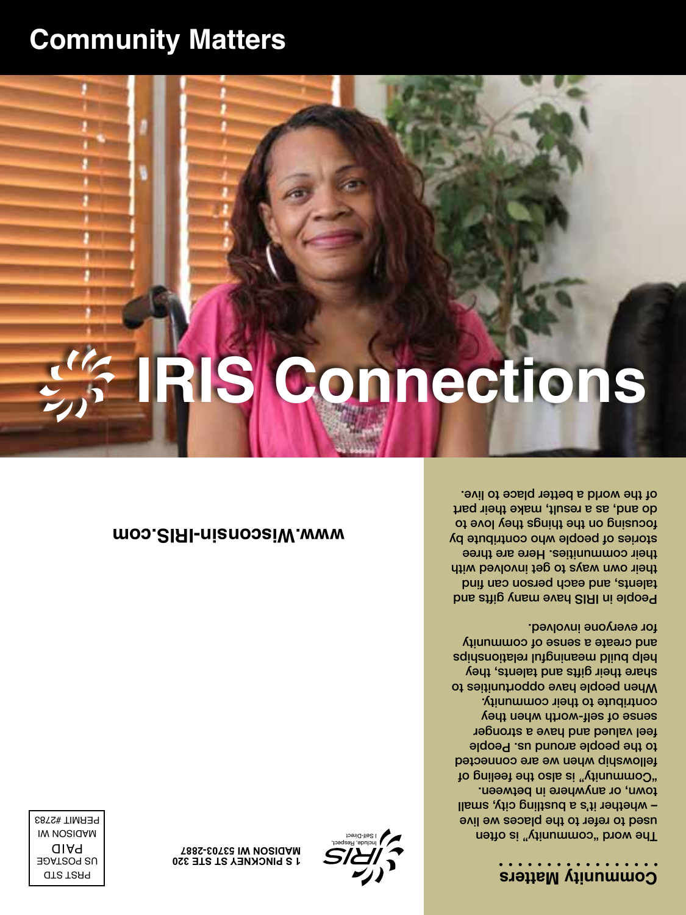### **Community Matters**

The word "community" is often used to refer to the places we live – whether it's a bustling city, small town, or anywhere in between. "Community" is also the feeling of fellowship when we are connected to the people around us. People feel valued and have a stronger sense of self-worth when they contribute to their community. When people have opportunities to share their gifts and talents, they help build meaningful relationships and create a sense of community for everyone involved.

People in IRIS have many gifts and talents, and each dozen can find their own ways to get involved with their communities. Here are three stories of people who contribute by focusing on the things the to do and, as a result, make their part of the world a better place to live.

# **IRIS Connections**

**Community Matters**



**J S PINCKNEY ST STE 320 T88S-E0TEB IW NOSIGAM** 

**[www.Wisconsin-IRIS.com](http://www.Wisconsin-IRIS.com)**

PRST STD US POSTAGE D AI P MADISON WI PERMIT #2783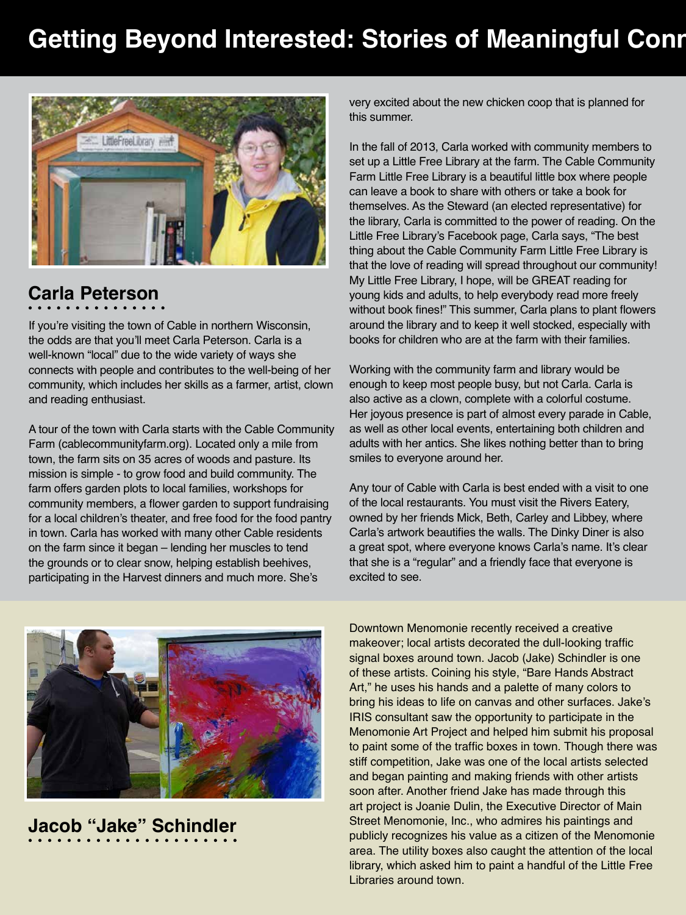# **Getting Beyond Interested: Stories of Meaningful Conr**



### **Carla Peterson**

If you're visiting the town of Cable in northern Wisconsin, the odds are that you'll meet Carla Peterson. Carla is a well-known "local" due to the wide variety of ways she connects with people and contributes to the well-being of her community, which includes her skills as a farmer, artist, clown and reading enthusiast.

A tour of the town with Carla starts with the Cable Community Farm (cablecommunityfarm.org). Located only a mile from town, the farm sits on 35 acres of woods and pasture. Its mission is simple - to grow food and build community. The farm offers garden plots to local families, workshops for community members, a flower garden to support fundraising for a local children's theater, and free food for the food pantry in town. Carla has worked with many other Cable residents on the farm since it began – lending her muscles to tend the grounds or to clear snow, helping establish beehives, participating in the Harvest dinners and much more. She's



# **Jacob "Jake" Schindler**

very excited about the new chicken coop that is planned for this summer.

In the fall of 2013, Carla worked with community members to set up a Little Free Library at the farm. The Cable Community Farm Little Free Library is a beautiful little box where people can leave a book to share with others or take a book for themselves. As the Steward (an elected representative) for the library, Carla is committed to the power of reading. On the Little Free Library's Facebook page, Carla says, "The best thing about the Cable Community Farm Little Free Library is that the love of reading will spread throughout our community! My Little Free Library, I hope, will be GREAT reading for young kids and adults, to help everybody read more freely without book fines!" This summer, Carla plans to plant flowers around the library and to keep it well stocked, especially with books for children who are at the farm with their families.

Working with the community farm and library would be enough to keep most people busy, but not Carla. Carla is also active as a clown, complete with a colorful costume. Her joyous presence is part of almost every parade in Cable, as well as other local events, entertaining both children and adults with her antics. She likes nothing better than to bring smiles to everyone around her.

Any tour of Cable with Carla is best ended with a visit to one of the local restaurants. You must visit the Rivers Eatery, owned by her friends Mick, Beth, Carley and Libbey, where Carla's artwork beautifies the walls. The Dinky Diner is also a great spot, where everyone knows Carla's name. It's clear that she is a "regular" and a friendly face that everyone is excited to see.

Downtown Menomonie recently received a creative makeover; local artists decorated the dull-looking traffic signal boxes around town. Jacob (Jake) Schindler is one of these artists. Coining his style, "Bare Hands Abstract Art," he uses his hands and a palette of many colors to bring his ideas to life on canvas and other surfaces. Jake's IRIS consultant saw the opportunity to participate in the Menomonie Art Project and helped him submit his proposal to paint some of the traffic boxes in town. Though there was stiff competition, Jake was one of the local artists selected and began painting and making friends with other artists soon after. Another friend Jake has made through this art project is Joanie Dulin, the Executive Director of Main Street Menomonie, Inc., who admires his paintings and publicly recognizes his value as a citizen of the Menomonie area. The utility boxes also caught the attention of the local library, which asked him to paint a handful of the Little Free Libraries around town.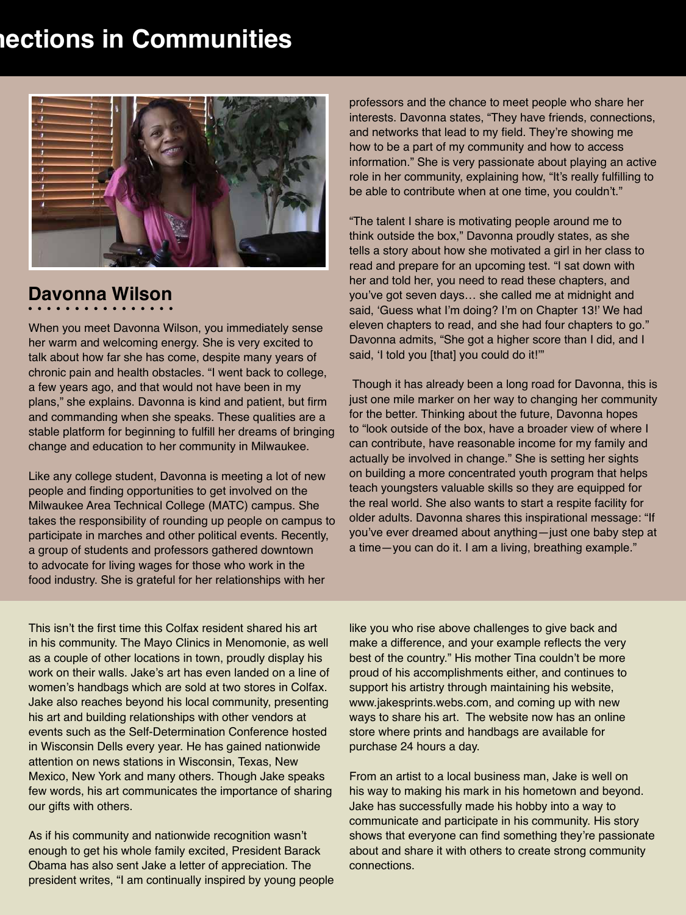# **Nections in Communities**



## **Davonna Wilson**

When you meet Davonna Wilson, you immediately sense her warm and welcoming energy. She is very excited to talk about how far she has come, despite many years of chronic pain and health obstacles. "I went back to college, a few years ago, and that would not have been in my plans," she explains. Davonna is kind and patient, but firm and commanding when she speaks. These qualities are a stable platform for beginning to fulfill her dreams of bringing change and education to her community in Milwaukee.

Like any college student, Davonna is meeting a lot of new people and finding opportunities to get involved on the Milwaukee Area Technical College (MATC) campus. She takes the responsibility of rounding up people on campus to participate in marches and other political events. Recently, a group of students and professors gathered downtown to advocate for living wages for those who work in the food industry. She is grateful for her relationships with her

professors and the chance to meet people who share her interests. Davonna states, "They have friends, connections, and networks that lead to my field. They're showing me how to be a part of my community and how to access information." She is very passionate about playing an active role in her community, explaining how, "It's really fulfilling to be able to contribute when at one time, you couldn't."

"The talent I share is motivating people around me to think outside the box," Davonna proudly states, as she tells a story about how she motivated a girl in her class to read and prepare for an upcoming test. "I sat down with her and told her, you need to read these chapters, and you've got seven days… she called me at midnight and said, 'Guess what I'm doing? I'm on Chapter 13!' We had eleven chapters to read, and she had four chapters to go." Davonna admits, "She got a higher score than I did, and I said, 'I told you [that] you could do it!'"

 Though it has already been a long road for Davonna, this is just one mile marker on her way to changing her community for the better. Thinking about the future, Davonna hopes to "look outside of the box, have a broader view of where I can contribute, have reasonable income for my family and actually be involved in change." She is setting her sights on building a more concentrated youth program that helps teach youngsters valuable skills so they are equipped for the real world. She also wants to start a respite facility for older adults. Davonna shares this inspirational message: "If you've ever dreamed about anything—just one baby step at a time—you can do it. I am a living, breathing example."

This isn't the first time this Colfax resident shared his art in his community. The Mayo Clinics in Menomonie, as well as a couple of other locations in town, proudly display his work on their walls. Jake's art has even landed on a line of women's handbags which are sold at two stores in Colfax. Jake also reaches beyond his local community, presenting his art and building relationships with other vendors at events such as the Self-Determination Conference hosted in Wisconsin Dells every year. He has gained nationwide attention on news stations in Wisconsin, Texas, New Mexico, New York and many others. Though Jake speaks few words, his art communicates the importance of sharing our gifts with others.

As if his community and nationwide recognition wasn't enough to get his whole family excited, President Barack Obama has also sent Jake a letter of appreciation. The president writes, "I am continually inspired by young people like you who rise above challenges to give back and make a difference, and your example reflects the very best of the country." His mother Tina couldn't be more proud of his accomplishments either, and continues to support his artistry through maintaining his website, www.jakesprints.webs.com, and coming up with new ways to share his art. The website now has an online store where prints and handbags are available for purchase 24 hours a day.

From an artist to a local business man, Jake is well on his way to making his mark in his hometown and beyond. Jake has successfully made his hobby into a way to communicate and participate in his community. His story shows that everyone can find something they're passionate about and share it with others to create strong community connections.